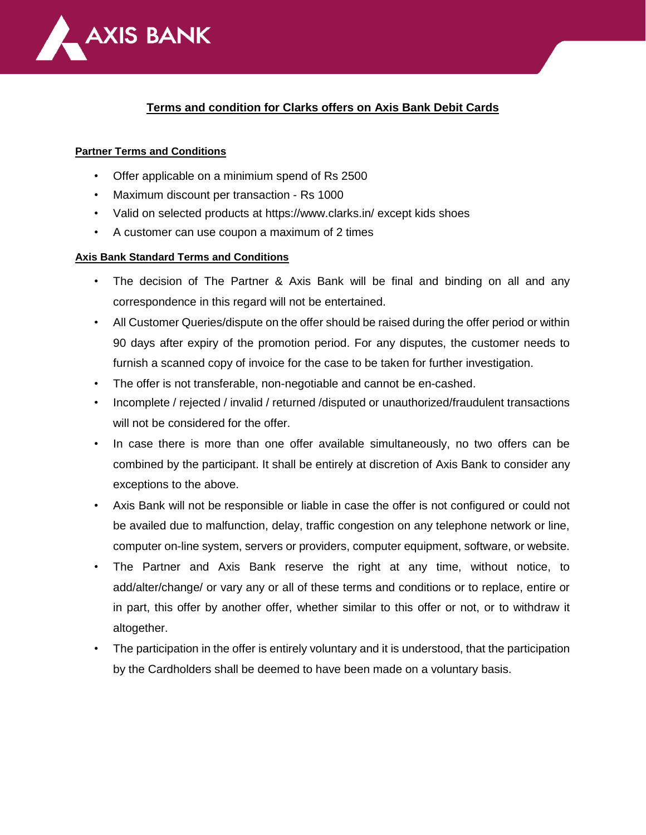

## **Terms and condition for Clarks offers on Axis Bank Debit Cards**

## **Partner Terms and Conditions**

- Offer applicable on a minimium spend of Rs 2500
- Maximum discount per transaction Rs 1000
- Valid on selected products at https://www.clarks.in/ except kids shoes
- A customer can use coupon a maximum of 2 times

## **Axis Bank Standard Terms and Conditions**

- The decision of The Partner & Axis Bank will be final and binding on all and any correspondence in this regard will not be entertained.
- All Customer Queries/dispute on the offer should be raised during the offer period or within 90 days after expiry of the promotion period. For any disputes, the customer needs to furnish a scanned copy of invoice for the case to be taken for further investigation.
- The offer is not transferable, non-negotiable and cannot be en-cashed.
- Incomplete / rejected / invalid / returned /disputed or unauthorized/fraudulent transactions will not be considered for the offer.
- In case there is more than one offer available simultaneously, no two offers can be combined by the participant. It shall be entirely at discretion of Axis Bank to consider any exceptions to the above.
- Axis Bank will not be responsible or liable in case the offer is not configured or could not be availed due to malfunction, delay, traffic congestion on any telephone network or line, computer on-line system, servers or providers, computer equipment, software, or website.
- The Partner and Axis Bank reserve the right at any time, without notice, to add/alter/change/ or vary any or all of these terms and conditions or to replace, entire or in part, this offer by another offer, whether similar to this offer or not, or to withdraw it altogether.
- The participation in the offer is entirely voluntary and it is understood, that the participation by the Cardholders shall be deemed to have been made on a voluntary basis.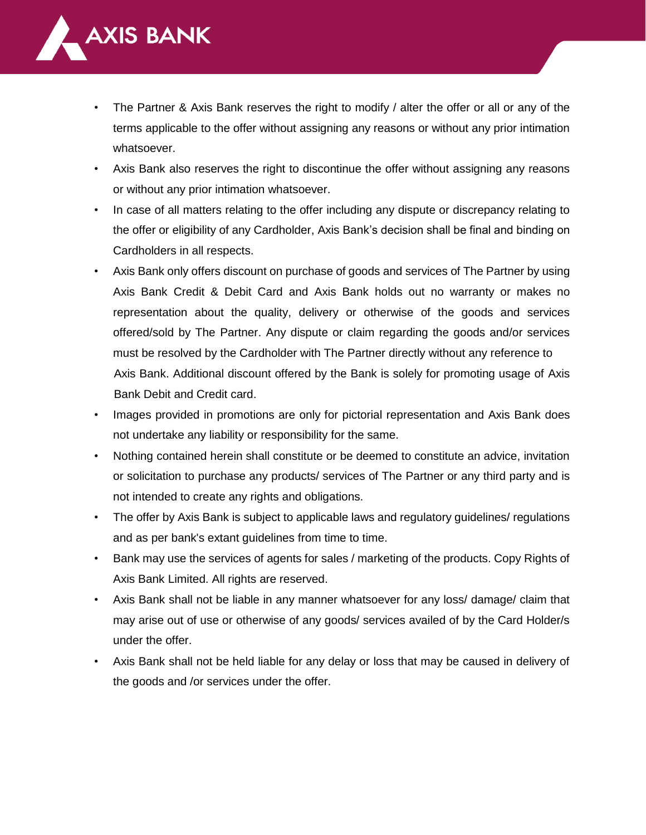

- The Partner & Axis Bank reserves the right to modify / alter the offer or all or any of the terms applicable to the offer without assigning any reasons or without any prior intimation whatsoever.
- Axis Bank also reserves the right to discontinue the offer without assigning any reasons or without any prior intimation whatsoever.
- In case of all matters relating to the offer including any dispute or discrepancy relating to the offer or eligibility of any Cardholder, Axis Bank's decision shall be final and binding on Cardholders in all respects.
- Axis Bank only offers discount on purchase of goods and services of The Partner by using Axis Bank Credit & Debit Card and Axis Bank holds out no warranty or makes no representation about the quality, delivery or otherwise of the goods and services offered/sold by The Partner. Any dispute or claim regarding the goods and/or services must be resolved by the Cardholder with The Partner directly without any reference to Axis Bank. Additional discount offered by the Bank is solely for promoting usage of Axis Bank Debit and Credit card.
- Images provided in promotions are only for pictorial representation and Axis Bank does not undertake any liability or responsibility for the same.
- Nothing contained herein shall constitute or be deemed to constitute an advice, invitation or solicitation to purchase any products/ services of The Partner or any third party and is not intended to create any rights and obligations.
- The offer by Axis Bank is subject to applicable laws and regulatory guidelines/ regulations and as per bank's extant guidelines from time to time.
- Bank may use the services of agents for sales / marketing of the products. Copy Rights of Axis Bank Limited. All rights are reserved.
- Axis Bank shall not be liable in any manner whatsoever for any loss/ damage/ claim that may arise out of use or otherwise of any goods/ services availed of by the Card Holder/s under the offer.
- Axis Bank shall not be held liable for any delay or loss that may be caused in delivery of the goods and /or services under the offer.